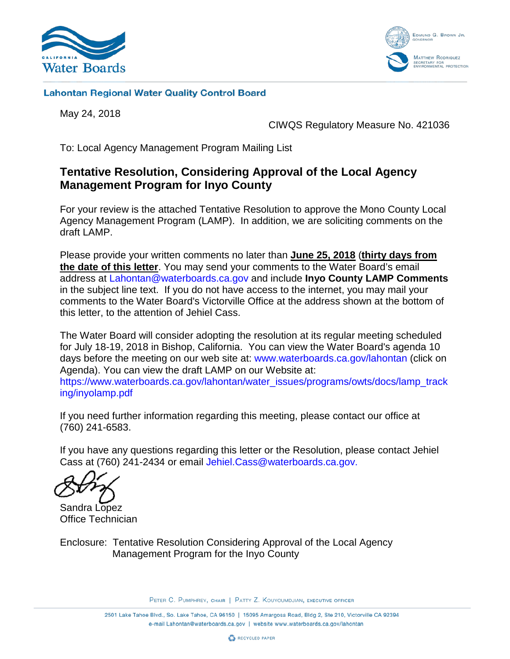



#### **Lahontan Regional Water Quality Control Board**

May 24, 2018

CIWQS Regulatory Measure No. 421036

To: Local Agency Management Program Mailing List

## **Tentative Resolution, Considering Approval of the Local Agency Management Program for Inyo County**

For your review is the attached Tentative Resolution to approve the Mono County Local Agency Management Program (LAMP). In addition, we are soliciting comments on the draft LAMP.

Please provide your written comments no later than **June 25, 2018** (**thirty days from the date of this letter**. You may send your comments to the Water Board's email address at [Lahontan@waterboards.ca.gov](mailto:Lahontan@waterboards.ca.gov) and include **Inyo County LAMP Comments** in the subject line text. If you do not have access to the internet, you may mail your comments to the Water Board's Victorville Office at the address shown at the bottom of this letter, to the attention of Jehiel Cass.

The Water Board will consider adopting the resolution at its regular meeting scheduled for July 18-19, 2018 in Bishop, California. You can view the Water Board's agenda 10 days before the meeting on our web site at: [www.waterboards.ca.gov/lahontan](http://www.waterboards.ca.gov/lahontan) (click on Agenda). You can view the draft LAMP on our Website at: [https://www.waterboards.ca.gov/lahontan/water\\_issues/programs/owts/docs/lamp\\_track](https://www.waterboards.ca.gov/lahontan/water_issues/programs/owts/docs/lamp_tracking/inyolamp.pdf) [ing/inyolamp.pdf](https://www.waterboards.ca.gov/lahontan/water_issues/programs/owts/docs/lamp_tracking/inyolamp.pdf)

If you need further information regarding this meeting, please contact our office at (760) 241-6583.

If you have any questions regarding this letter or the Resolution, please contact Jehiel Cass at (760) 241-2434 or email [Jehiel.Cass@waterboards.ca.gov.](mailto:Jehiel.Cass@waterboards.ca.gov)

Sandra Lopez Office Technician

Enclosure: Tentative Resolution Considering Approval of the Local Agency Management Program for the Inyo County

PETER C. PUMPHREY, CHAIR | PATTY Z. KOUYOUMDJIAN, EXECUTIVE OFFICER

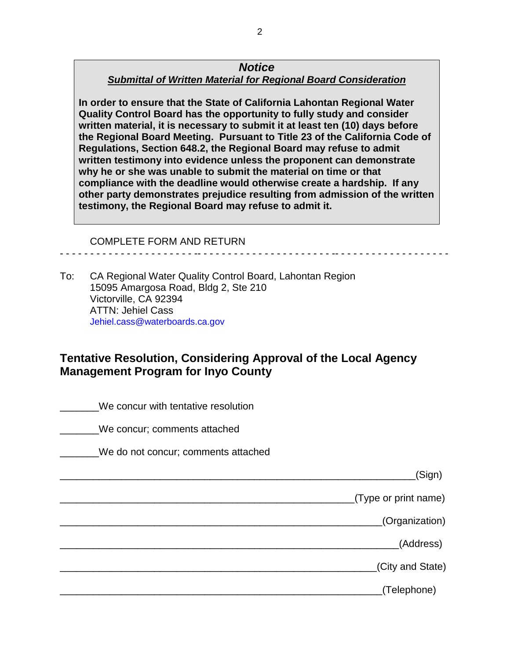#### *Notice Submittal of Written Material for Regional Board Consideration*

**In order to ensure that the State of California Lahontan Regional Water Quality Control Board has the opportunity to fully study and consider written material, it is necessary to submit it at least ten (10) days before the Regional Board Meeting. Pursuant to Title 23 of the California Code of Regulations, Section 648.2, the Regional Board may refuse to admit written testimony into evidence unless the proponent can demonstrate why he or she was unable to submit the material on time or that compliance with the deadline would otherwise create a hardship. If any other party demonstrates prejudice resulting from admission of the written testimony, the Regional Board may refuse to admit it.**

- - - - - - - - - - - - - - - - - - - - - - -- - - - - - - - - - - - - - - - - - - - - - -- - - - - - - - - - - - - - - - - - -

COMPLETE FORM AND RETURN

To: CA Regional Water Quality Control Board, Lahontan Region 15095 Amargosa Road, Bldg 2, Ste 210 Victorville, CA 92394 ATTN: Jehiel Cass [Jehiel.cass@waterboards.ca.gov](mailto:Jehiel.cass@waterboards.ca.gov)

# **Tentative Resolution, Considering Approval of the Local Agency Management Program for Inyo County**

|                      | We concur with tentative resolution |
|----------------------|-------------------------------------|
|                      | We concur; comments attached        |
|                      | We do not concur; comments attached |
| (Sign)               |                                     |
| (Type or print name) |                                     |
| (Organization)       |                                     |
| (Address)            |                                     |
| (City and State)     |                                     |
| (Telephone)          |                                     |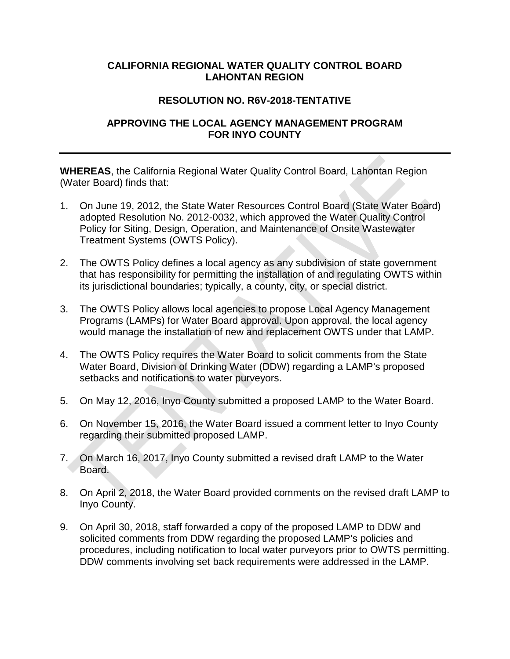#### **CALIFORNIA REGIONAL WATER QUALITY CONTROL BOARD LAHONTAN REGION**

### **RESOLUTION NO. R6V-2018-TENTATIVE**

### **APPROVING THE LOCAL AGENCY MANAGEMENT PROGRAM FOR INYO COUNTY**

**WHEREAS**, the California Regional Water Quality Control Board, Lahontan Region (Water Board) finds that:

- 1. On June 19, 2012, the State Water Resources Control Board (State Water Board) adopted Resolution No. 2012-0032, which approved the Water Quality Control Policy for Siting, Design, Operation, and Maintenance of Onsite Wastewater Treatment Systems (OWTS Policy).
- 2. The OWTS Policy defines a local agency as any subdivision of state government that has responsibility for permitting the installation of and regulating OWTS within its jurisdictional boundaries; typically, a county, city, or special district.
- 3. The OWTS Policy allows local agencies to propose Local Agency Management Programs (LAMPs) for Water Board approval. Upon approval, the local agency would manage the installation of new and replacement OWTS under that LAMP.
- 4. The OWTS Policy requires the Water Board to solicit comments from the State Water Board, Division of Drinking Water (DDW) regarding a LAMP's proposed setbacks and notifications to water purveyors.
- 5. On May 12, 2016, Inyo County submitted a proposed LAMP to the Water Board.
- 6. On November 15, 2016, the Water Board issued a comment letter to Inyo County regarding their submitted proposed LAMP.
- 7. On March 16, 2017, Inyo County submitted a revised draft LAMP to the Water Board.
- 8. On April 2, 2018, the Water Board provided comments on the revised draft LAMP to Inyo County.
- 9. On April 30, 2018, staff forwarded a copy of the proposed LAMP to DDW and solicited comments from DDW regarding the proposed LAMP's policies and procedures, including notification to local water purveyors prior to OWTS permitting. DDW comments involving set back requirements were addressed in the LAMP.